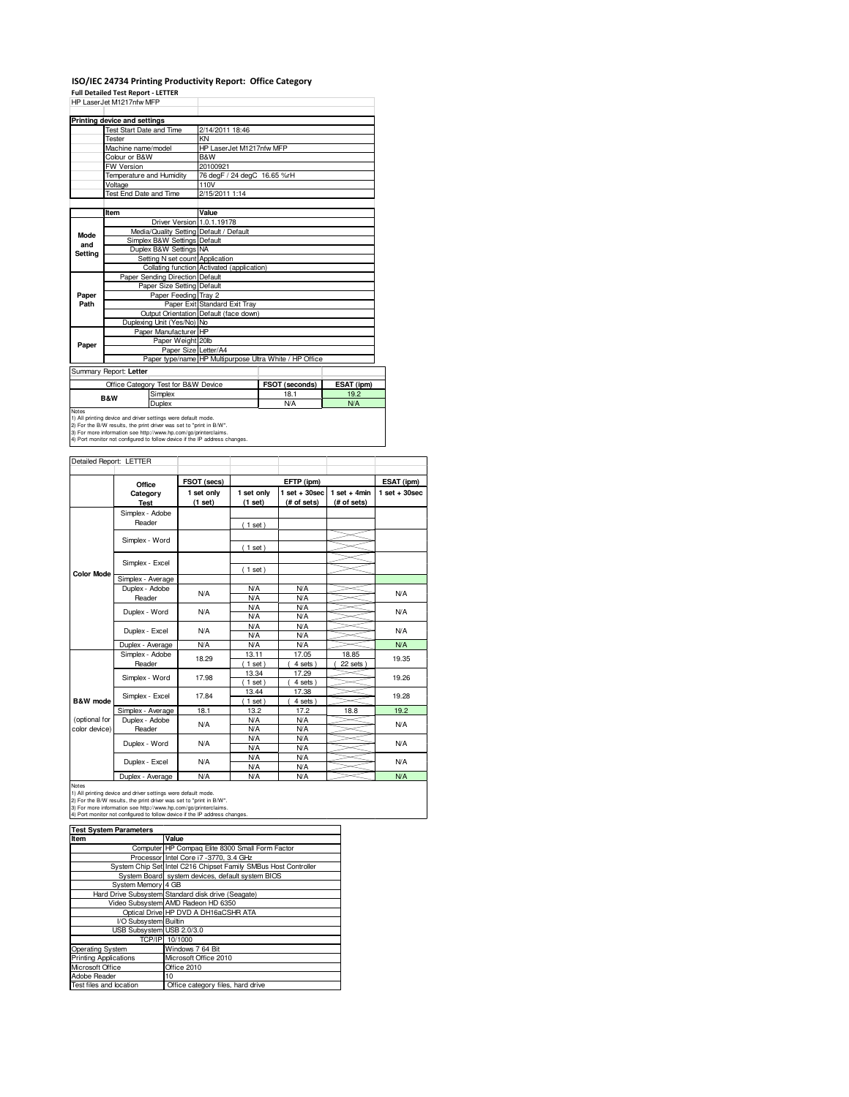## **ISO/IEC 24734 Printing Productivity Report: Office Category**

**Full Detailed Test Report - LETTER**

| HP Laser Jet M1217nfw MFP |                                 |                                            |                                                         |                             |            |  |  |
|---------------------------|---------------------------------|--------------------------------------------|---------------------------------------------------------|-----------------------------|------------|--|--|
|                           | Printing device and settings    |                                            |                                                         |                             |            |  |  |
|                           | <b>Test Start Date and Time</b> |                                            | 2/14/2011 18:46                                         |                             |            |  |  |
|                           | Tester                          |                                            | KN                                                      |                             |            |  |  |
|                           | Machine name/model              |                                            | HP LaserJet M1217nfw MFP                                |                             |            |  |  |
|                           | Colour or B&W                   |                                            | B&W                                                     |                             |            |  |  |
|                           | <b>FW Version</b>               |                                            | 20100921                                                |                             |            |  |  |
|                           | Temperature and Humidity        |                                            |                                                         | 76 degF / 24 degC 16.65 %rH |            |  |  |
|                           | Voltage                         |                                            | 110V                                                    |                             |            |  |  |
|                           | <b>Test End Date and Time</b>   |                                            | 2/15/2011 1:14                                          |                             |            |  |  |
|                           |                                 |                                            |                                                         |                             |            |  |  |
|                           | Item                            |                                            | Value                                                   |                             |            |  |  |
|                           |                                 | Driver Version 1.0.1.19178                 |                                                         |                             |            |  |  |
| Mode                      |                                 |                                            | Media/Quality Setting Default / Default                 |                             |            |  |  |
| and                       |                                 | Simplex B&W Settings Default               |                                                         |                             |            |  |  |
| <b>Settina</b>            |                                 | Duplex B&W Settings NA                     |                                                         |                             |            |  |  |
|                           |                                 | Setting N set count Application            |                                                         |                             |            |  |  |
|                           |                                 | Collating function Activated (application) |                                                         |                             |            |  |  |
|                           |                                 | Paper Sending Direction Default            |                                                         |                             |            |  |  |
|                           |                                 | Paper Size Setting Default                 |                                                         |                             |            |  |  |
| Paper                     |                                 | Paper Feeding Tray 2                       |                                                         |                             |            |  |  |
| Path                      |                                 |                                            | Paper Exit Standard Exit Tray                           |                             |            |  |  |
|                           |                                 |                                            | Output Orientation Default (face down)                  |                             |            |  |  |
|                           |                                 | Duplexing Unit (Yes/No) No                 |                                                         |                             |            |  |  |
|                           |                                 | Paper Manufacturer HP                      |                                                         |                             |            |  |  |
| Paper                     |                                 | Paper Weight 20lb                          |                                                         |                             |            |  |  |
|                           | Paper Size Letter/A4            |                                            |                                                         |                             |            |  |  |
|                           |                                 |                                            | Paper type/name HP Multipurpose Ultra White / HP Office |                             |            |  |  |
|                           | Summary Report: Letter          |                                            |                                                         |                             |            |  |  |
|                           |                                 | Office Category Test for B&W Device        |                                                         | FSOT (seconds)              | ESAT (ipm) |  |  |
| <b>B&amp;W</b>            |                                 | Simplex                                    |                                                         | 18.1                        | 19.2       |  |  |
|                           |                                 | Duplex                                     |                                                         | N/A                         | <b>N/A</b> |  |  |
| Notes<br>.                | $\sim$ $\sim$                   | .                                          |                                                         |                             |            |  |  |

Notes<br>1) All printing device and driver settings were default mode.<br>2) For the B/W results, the print driver was set to "print in B/W".<br>3) For more information see http://www.hp.com/go/printerclaims.<br>4) Port monitor not co

| Detailed Report: LETTER        |                           |                       |                          |                                  |                               |                 |
|--------------------------------|---------------------------|-----------------------|--------------------------|----------------------------------|-------------------------------|-----------------|
|                                | Office                    | FSOT (secs)           | EFTP (ipm)               |                                  |                               | ESAT (ipm)      |
|                                | Category<br><b>Test</b>   | 1 set only<br>(1 set) | 1 set only<br>(1 set)    | $1$ set $+30$ sec<br>(# of sets) | $1$ set + 4min<br>(# of sets) | $1$ set + 30sec |
|                                | Simplex - Adobe<br>Reader |                       | (1 set)                  |                                  |                               |                 |
|                                | Simplex - Word            |                       | (1 set)                  |                                  |                               |                 |
|                                | Simplex - Excel           |                       |                          |                                  |                               |                 |
| <b>Color Mode</b>              | Simplex - Average         |                       | $1$ set)                 |                                  |                               |                 |
|                                | Duplex - Adobe<br>Reader  | N/A                   | <b>N/A</b><br><b>N/A</b> | <b>N/A</b><br><b>N/A</b>         |                               | N/A             |
|                                | Duplex - Word             | N/A                   | <b>N/A</b><br><b>N/A</b> | <b>N/A</b><br><b>N/A</b>         |                               | <b>N/A</b>      |
|                                | Duplex - Excel            | N/A                   | <b>N/A</b><br><b>N/A</b> | <b>N/A</b><br><b>N/A</b>         |                               | <b>N/A</b>      |
|                                | Duplex - Average          | <b>N/A</b>            | <b>N/A</b>               | <b>N/A</b>                       |                               | <b>N/A</b>      |
|                                | Simplex - Adobe<br>Reader | 18.29                 | 13.11<br>$1$ set)        | 17.05<br>4 sets                  | 18.85<br>22 sets              | 19.35           |
|                                | Simplex - Word            | 17.98                 | 13.34<br>$1$ set)        | 17.29<br>4 sets)                 |                               | 19.26           |
| B&W mode                       | Simplex - Excel           | 17.84                 | 13.44<br>$1$ set)        | 17.38<br>4 sets)                 |                               | 19.28           |
|                                | Simplex - Average         | 18.1                  | 13.2                     | 17.2                             | 18.8                          | 19.2            |
| (optional for<br>color device) | Duplex - Adobe<br>Reader  | N/A                   | <b>N/A</b><br><b>N/A</b> | <b>N/A</b><br><b>N/A</b>         |                               | <b>N/A</b>      |
|                                | Duplex - Word             | N/A                   | <b>N/A</b><br><b>N/A</b> | <b>N/A</b><br><b>N/A</b>         |                               | <b>N/A</b>      |
|                                | Duplex - Excel            | N/A                   | <b>N/A</b><br><b>N/A</b> | <b>N/A</b><br><b>N/A</b>         |                               | <b>N/A</b>      |
|                                | Duplex - Average          | N/A                   | <b>N/A</b>               | <b>N/A</b>                       |                               | <b>N/A</b>      |

Notes<br>1) All printing device and driver settings were default mode.<br>2) For the B/W results, the print driver was set to "print in B/W".<br>3) For more information see http://www.hp.com/go/printerclaims.<br>4) Port monitor not co

| <b>Test System Parameters</b> |                                                                 |  |  |  |
|-------------------------------|-----------------------------------------------------------------|--|--|--|
| Item                          | Value                                                           |  |  |  |
|                               | Computer HP Compag Elite 8300 Small Form Factor                 |  |  |  |
|                               | Processor Intel Core i7 -3770, 3.4 GHz                          |  |  |  |
|                               | System Chip Set Intel C216 Chipset Family SMBus Host Controller |  |  |  |
|                               | System Board system devices, default system BIOS                |  |  |  |
| System Memory 4 GB            |                                                                 |  |  |  |
|                               | Hard Drive Subsystem Standard disk drive (Seagate)              |  |  |  |
|                               | Video Subsystem AMD Radeon HD 6350                              |  |  |  |
|                               | Optical Drive HP DVD A DH16aCSHR ATA                            |  |  |  |
| I/O Subsystem Builtin         |                                                                 |  |  |  |
| USB Subsystem USB 2.0/3.0     |                                                                 |  |  |  |
|                               | TCP/IP 10/1000                                                  |  |  |  |
| Operating System              | Windows 7 64 Bit                                                |  |  |  |
| <b>Printing Applications</b>  | Microsoft Office 2010                                           |  |  |  |
| Microsoft Office              | Office 2010                                                     |  |  |  |
| Adobe Reader                  | 10                                                              |  |  |  |
| Test files and location       | Office category files, hard drive                               |  |  |  |